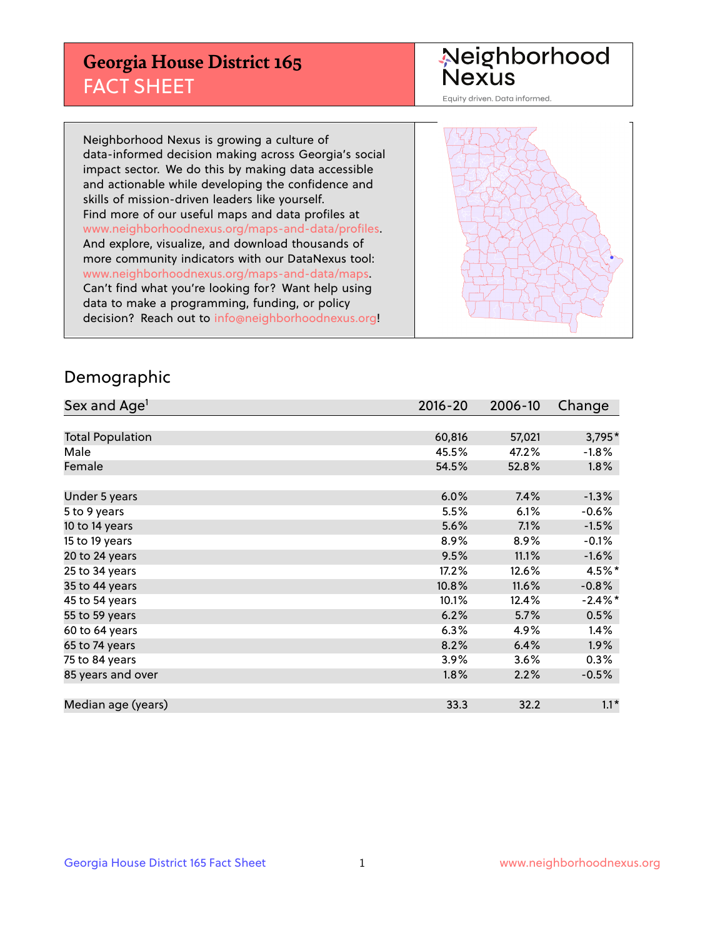## **Georgia House District 165** FACT SHEET

# Neighborhood<br>Nexus

Equity driven. Data informed.

Neighborhood Nexus is growing a culture of data-informed decision making across Georgia's social impact sector. We do this by making data accessible and actionable while developing the confidence and skills of mission-driven leaders like yourself. Find more of our useful maps and data profiles at www.neighborhoodnexus.org/maps-and-data/profiles. And explore, visualize, and download thousands of more community indicators with our DataNexus tool: www.neighborhoodnexus.org/maps-and-data/maps. Can't find what you're looking for? Want help using data to make a programming, funding, or policy decision? Reach out to [info@neighborhoodnexus.org!](mailto:info@neighborhoodnexus.org)



### Demographic

| Sex and Age <sup>1</sup> | $2016 - 20$ | 2006-10 | Change     |
|--------------------------|-------------|---------|------------|
|                          |             |         |            |
| <b>Total Population</b>  | 60,816      | 57,021  | 3,795*     |
| Male                     | 45.5%       | 47.2%   | $-1.8%$    |
| Female                   | 54.5%       | 52.8%   | $1.8\%$    |
|                          |             |         |            |
| Under 5 years            | 6.0%        | 7.4%    | $-1.3%$    |
| 5 to 9 years             | 5.5%        | 6.1%    | $-0.6%$    |
| 10 to 14 years           | 5.6%        | 7.1%    | $-1.5%$    |
| 15 to 19 years           | 8.9%        | 8.9%    | $-0.1%$    |
| 20 to 24 years           | 9.5%        | 11.1%   | $-1.6%$    |
| 25 to 34 years           | 17.2%       | 12.6%   | $4.5\%$ *  |
| 35 to 44 years           | 10.8%       | 11.6%   | $-0.8%$    |
| 45 to 54 years           | 10.1%       | 12.4%   | $-2.4\%$ * |
| 55 to 59 years           | 6.2%        | 5.7%    | 0.5%       |
| 60 to 64 years           | 6.3%        | 4.9%    | 1.4%       |
| 65 to 74 years           | 8.2%        | 6.4%    | 1.9%       |
| 75 to 84 years           | 3.9%        | 3.6%    | 0.3%       |
| 85 years and over        | 1.8%        | 2.2%    | $-0.5%$    |
|                          |             |         |            |
| Median age (years)       | 33.3        | 32.2    | $1.1*$     |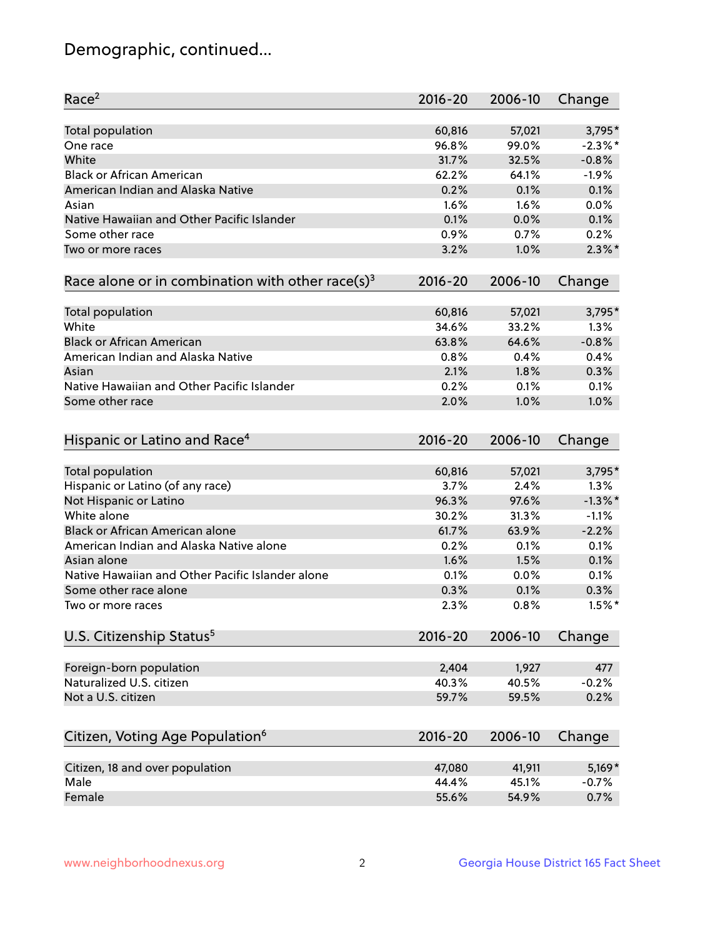## Demographic, continued...

| Race <sup>2</sup>                                            | $2016 - 20$ | 2006-10 | Change     |
|--------------------------------------------------------------|-------------|---------|------------|
| <b>Total population</b>                                      | 60,816      | 57,021  | 3,795*     |
| One race                                                     | 96.8%       | 99.0%   | $-2.3\%$ * |
| White                                                        | 31.7%       | 32.5%   | $-0.8%$    |
| <b>Black or African American</b>                             | 62.2%       | 64.1%   | $-1.9%$    |
| American Indian and Alaska Native                            | 0.2%        | 0.1%    | 0.1%       |
| Asian                                                        | 1.6%        | 1.6%    | 0.0%       |
| Native Hawaiian and Other Pacific Islander                   | 0.1%        | 0.0%    | 0.1%       |
| Some other race                                              | 0.9%        | 0.7%    | 0.2%       |
| Two or more races                                            | 3.2%        | 1.0%    | $2.3\%$ *  |
| Race alone or in combination with other race(s) <sup>3</sup> | $2016 - 20$ | 2006-10 | Change     |
|                                                              |             |         |            |
| Total population                                             | 60,816      | 57,021  | $3,795*$   |
| White                                                        | 34.6%       | 33.2%   | 1.3%       |
| <b>Black or African American</b>                             | 63.8%       | 64.6%   | $-0.8%$    |
| American Indian and Alaska Native                            | 0.8%        | 0.4%    | 0.4%       |
| Asian                                                        | 2.1%        | 1.8%    | 0.3%       |
| Native Hawaiian and Other Pacific Islander                   | 0.2%        | 0.1%    | 0.1%       |
| Some other race                                              | 2.0%        | 1.0%    | 1.0%       |
|                                                              |             |         |            |
| Hispanic or Latino and Race <sup>4</sup>                     | $2016 - 20$ | 2006-10 | Change     |
| Total population                                             | 60,816      | 57,021  | 3,795*     |
| Hispanic or Latino (of any race)                             | 3.7%        | 2.4%    | 1.3%       |
| Not Hispanic or Latino                                       | 96.3%       | 97.6%   | $-1.3\%$ * |
| White alone                                                  |             |         |            |
|                                                              | 30.2%       | 31.3%   | $-1.1%$    |
| Black or African American alone                              | 61.7%       | 63.9%   | $-2.2%$    |
| American Indian and Alaska Native alone                      | 0.2%        | 0.1%    | 0.1%       |
| Asian alone                                                  | 1.6%        | 1.5%    | 0.1%       |
| Native Hawaiian and Other Pacific Islander alone             | 0.1%        | 0.0%    | 0.1%       |
| Some other race alone                                        | 0.3%        | 0.1%    | 0.3%       |
| Two or more races                                            | 2.3%        | 0.8%    | $1.5%$ *   |
| U.S. Citizenship Status <sup>5</sup>                         | $2016 - 20$ | 2006-10 | Change     |
|                                                              |             |         |            |
| Foreign-born population                                      | 2,404       | 1,927   | 477        |
| Naturalized U.S. citizen                                     | 40.3%       | 40.5%   | $-0.2%$    |
| Not a U.S. citizen                                           | 59.7%       | 59.5%   | 0.2%       |
| Citizen, Voting Age Population <sup>6</sup>                  | $2016 - 20$ | 2006-10 | Change     |
|                                                              |             |         |            |
| Citizen, 18 and over population                              | 47,080      | 41,911  | $5,169*$   |
| Male                                                         | 44.4%       | 45.1%   | $-0.7%$    |
| Female                                                       | 55.6%       | 54.9%   | 0.7%       |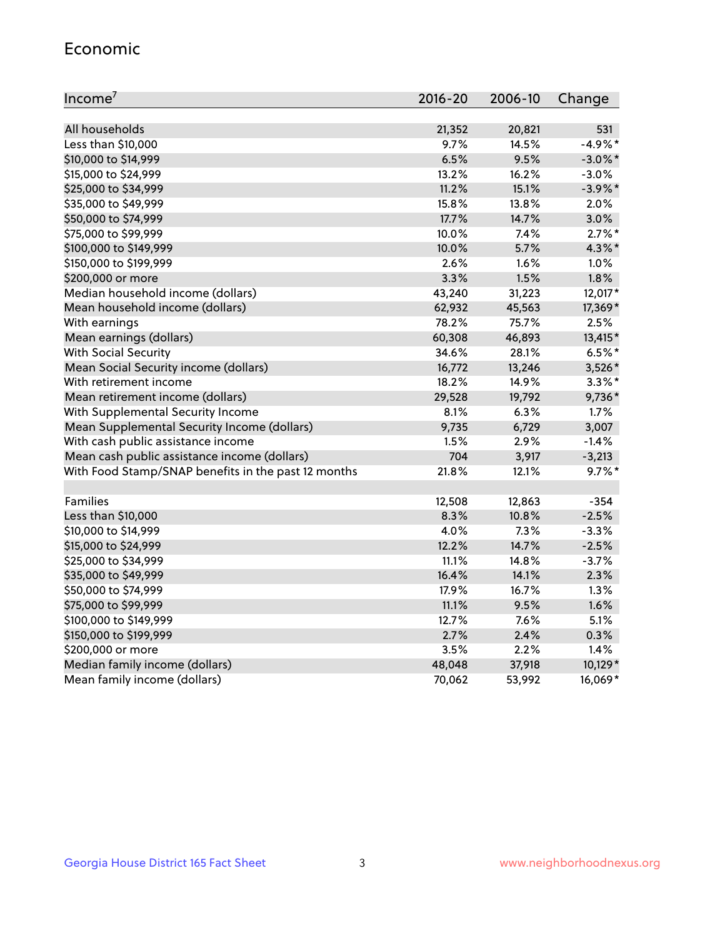#### Economic

| Income <sup>7</sup>                                 | 2016-20  | 2006-10 | Change     |
|-----------------------------------------------------|----------|---------|------------|
|                                                     |          |         |            |
| All households                                      | 21,352   | 20,821  | 531        |
| Less than \$10,000                                  | $9.7\%$  | 14.5%   | $-4.9%$ *  |
| \$10,000 to \$14,999                                | 6.5%     | 9.5%    | $-3.0\%$ * |
| \$15,000 to \$24,999                                | 13.2%    | 16.2%   | $-3.0%$    |
| \$25,000 to \$34,999                                | 11.2%    | 15.1%   | $-3.9%$ *  |
| \$35,000 to \$49,999                                | $15.8\%$ | 13.8%   | 2.0%       |
| \$50,000 to \$74,999                                | 17.7%    | 14.7%   | 3.0%       |
| \$75,000 to \$99,999                                | 10.0%    | 7.4%    | $2.7\%$ *  |
| \$100,000 to \$149,999                              | 10.0%    | 5.7%    | 4.3%*      |
| \$150,000 to \$199,999                              | 2.6%     | 1.6%    | 1.0%       |
| \$200,000 or more                                   | 3.3%     | 1.5%    | 1.8%       |
| Median household income (dollars)                   | 43,240   | 31,223  | 12,017*    |
| Mean household income (dollars)                     | 62,932   | 45,563  | 17,369*    |
| With earnings                                       | 78.2%    | 75.7%   | 2.5%       |
| Mean earnings (dollars)                             | 60,308   | 46,893  | 13,415*    |
| <b>With Social Security</b>                         | 34.6%    | 28.1%   | $6.5%$ *   |
| Mean Social Security income (dollars)               | 16,772   | 13,246  | 3,526*     |
| With retirement income                              | 18.2%    | 14.9%   | $3.3\%$ *  |
| Mean retirement income (dollars)                    | 29,528   | 19,792  | 9,736*     |
| With Supplemental Security Income                   | 8.1%     | 6.3%    | 1.7%       |
| Mean Supplemental Security Income (dollars)         | 9,735    | 6,729   | 3,007      |
| With cash public assistance income                  | 1.5%     | 2.9%    | $-1.4%$    |
| Mean cash public assistance income (dollars)        | 704      | 3,917   | $-3,213$   |
| With Food Stamp/SNAP benefits in the past 12 months | 21.8%    | 12.1%   | $9.7\%$ *  |
|                                                     |          |         |            |
| Families                                            | 12,508   | 12,863  | $-354$     |
| Less than \$10,000                                  | 8.3%     | 10.8%   | $-2.5%$    |
| \$10,000 to \$14,999                                | 4.0%     | 7.3%    | $-3.3%$    |
| \$15,000 to \$24,999                                | 12.2%    | 14.7%   | $-2.5%$    |
| \$25,000 to \$34,999                                | 11.1%    | 14.8%   | $-3.7%$    |
| \$35,000 to \$49,999                                | 16.4%    | 14.1%   | 2.3%       |
| \$50,000 to \$74,999                                | 17.9%    | 16.7%   | 1.3%       |
| \$75,000 to \$99,999                                | 11.1%    | 9.5%    | 1.6%       |
| \$100,000 to \$149,999                              | 12.7%    | $7.6\%$ | 5.1%       |
| \$150,000 to \$199,999                              | 2.7%     | 2.4%    | 0.3%       |
| \$200,000 or more                                   | 3.5%     | 2.2%    | 1.4%       |
| Median family income (dollars)                      | 48,048   | 37,918  | 10,129*    |
| Mean family income (dollars)                        | 70,062   | 53,992  | 16,069*    |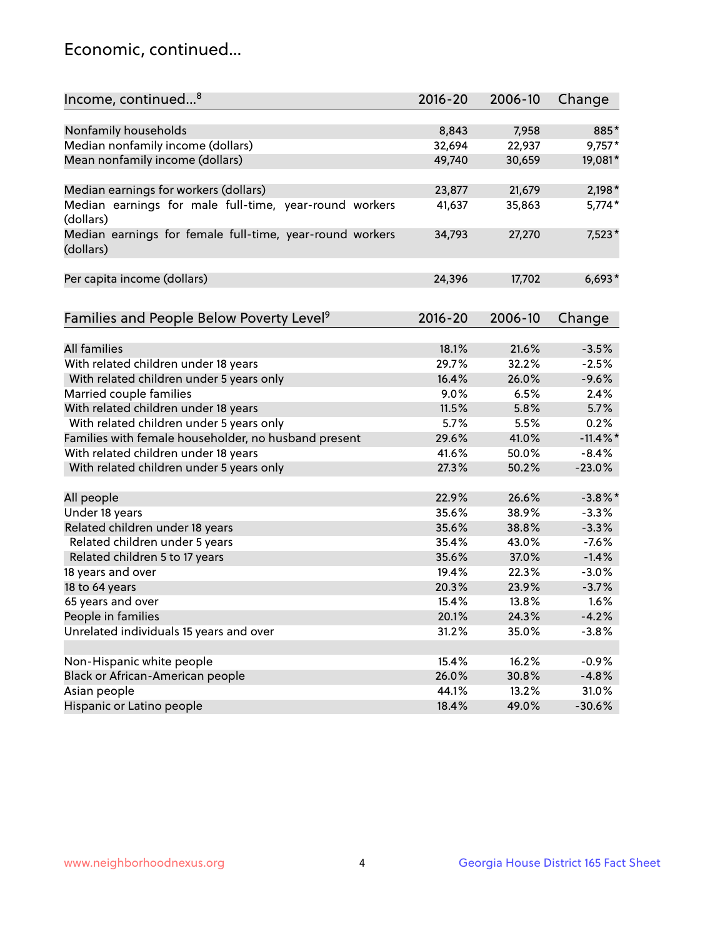## Economic, continued...

| Income, continued <sup>8</sup>                           | $2016 - 20$ | 2006-10 | Change      |
|----------------------------------------------------------|-------------|---------|-------------|
|                                                          |             |         |             |
| Nonfamily households                                     | 8,843       | 7,958   | 885*        |
| Median nonfamily income (dollars)                        | 32,694      | 22,937  | $9,757*$    |
| Mean nonfamily income (dollars)                          | 49,740      | 30,659  | 19,081*     |
| Median earnings for workers (dollars)                    | 23,877      | 21,679  | $2,198*$    |
| Median earnings for male full-time, year-round workers   | 41,637      | 35,863  | $5,774*$    |
| (dollars)                                                |             |         |             |
| Median earnings for female full-time, year-round workers | 34,793      | 27,270  | 7,523*      |
| (dollars)                                                |             |         |             |
|                                                          |             |         |             |
| Per capita income (dollars)                              | 24,396      | 17,702  | $6,693*$    |
|                                                          |             |         |             |
| Families and People Below Poverty Level <sup>9</sup>     | 2016-20     | 2006-10 | Change      |
|                                                          |             |         |             |
| <b>All families</b>                                      | 18.1%       | 21.6%   | $-3.5%$     |
| With related children under 18 years                     | 29.7%       | 32.2%   | $-2.5%$     |
| With related children under 5 years only                 | 16.4%       | 26.0%   | $-9.6%$     |
| Married couple families                                  | 9.0%        | 6.5%    | 2.4%        |
| With related children under 18 years                     | 11.5%       | 5.8%    | 5.7%        |
| With related children under 5 years only                 | 5.7%        | 5.5%    | 0.2%        |
| Families with female householder, no husband present     | 29.6%       | 41.0%   | $-11.4\%$ * |
| With related children under 18 years                     | 41.6%       | 50.0%   | $-8.4%$     |
| With related children under 5 years only                 | 27.3%       | 50.2%   | $-23.0%$    |
|                                                          |             |         |             |
| All people                                               | 22.9%       | 26.6%   | $-3.8\%$ *  |
| Under 18 years                                           | 35.6%       | 38.9%   | $-3.3%$     |
| Related children under 18 years                          | 35.6%       | 38.8%   | $-3.3%$     |
| Related children under 5 years                           | 35.4%       | 43.0%   | $-7.6%$     |
| Related children 5 to 17 years                           | 35.6%       | 37.0%   | $-1.4%$     |
| 18 years and over                                        | 19.4%       | 22.3%   | $-3.0%$     |
| 18 to 64 years                                           | 20.3%       | 23.9%   | $-3.7%$     |
| 65 years and over                                        | 15.4%       | 13.8%   | 1.6%        |
| People in families                                       | 20.1%       | 24.3%   | $-4.2%$     |
| Unrelated individuals 15 years and over                  | 31.2%       | 35.0%   | $-3.8%$     |
|                                                          |             |         |             |
| Non-Hispanic white people                                | 15.4%       | 16.2%   | $-0.9%$     |
| Black or African-American people                         | 26.0%       | 30.8%   | $-4.8%$     |
| Asian people                                             | 44.1%       | 13.2%   | 31.0%       |
| Hispanic or Latino people                                | 18.4%       | 49.0%   | $-30.6%$    |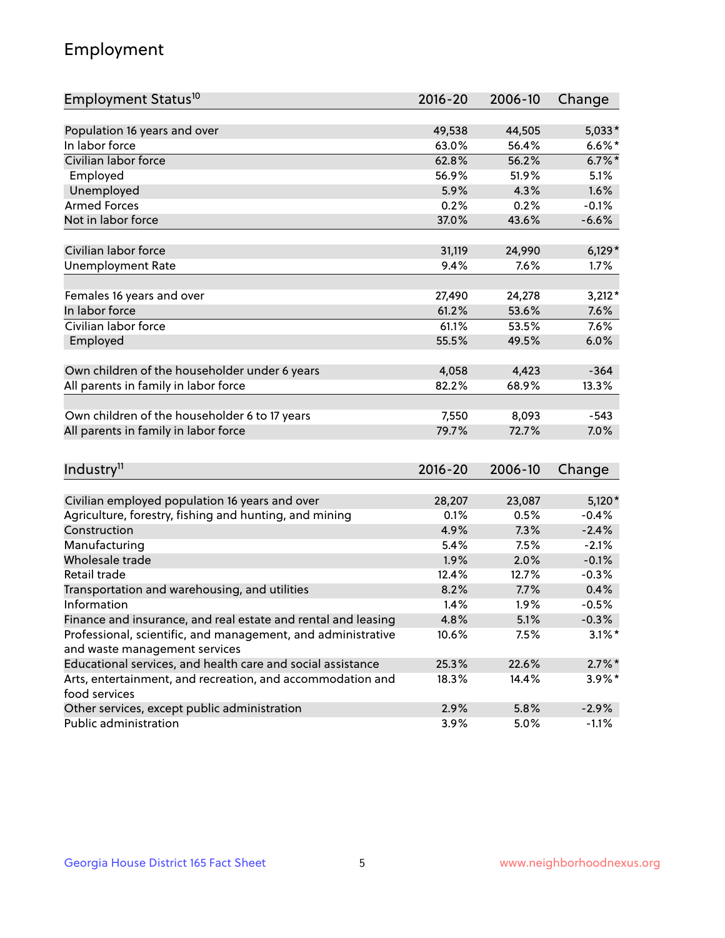## Employment

| Employment Status <sup>10</sup>                                             | $2016 - 20$ | 2006-10 | Change    |
|-----------------------------------------------------------------------------|-------------|---------|-----------|
|                                                                             |             |         |           |
| Population 16 years and over                                                | 49,538      | 44,505  | $5,033*$  |
| In labor force                                                              | 63.0%       | 56.4%   | $6.6\%$ * |
| Civilian labor force                                                        | 62.8%       | 56.2%   | $6.7\%$ * |
| Employed                                                                    | 56.9%       | 51.9%   | 5.1%      |
| Unemployed                                                                  | 5.9%        | 4.3%    | 1.6%      |
| <b>Armed Forces</b>                                                         | 0.2%        | 0.2%    | $-0.1%$   |
| Not in labor force                                                          | 37.0%       | 43.6%   | $-6.6%$   |
| Civilian labor force                                                        | 31,119      | 24,990  | $6,129*$  |
|                                                                             | 9.4%        | 7.6%    | 1.7%      |
| <b>Unemployment Rate</b>                                                    |             |         |           |
| Females 16 years and over                                                   | 27,490      | 24,278  | $3,212*$  |
| In labor force                                                              | 61.2%       | 53.6%   | 7.6%      |
| Civilian labor force                                                        | 61.1%       | 53.5%   | 7.6%      |
| Employed                                                                    | 55.5%       | 49.5%   | 6.0%      |
|                                                                             |             |         |           |
| Own children of the householder under 6 years                               | 4,058       | 4,423   | $-364$    |
| All parents in family in labor force                                        | 82.2%       | 68.9%   | 13.3%     |
| Own children of the householder 6 to 17 years                               | 7,550       | 8,093   | $-543$    |
| All parents in family in labor force                                        | 79.7%       | 72.7%   | 7.0%      |
|                                                                             |             |         |           |
| Industry <sup>11</sup>                                                      | $2016 - 20$ | 2006-10 | Change    |
|                                                                             |             |         |           |
| Civilian employed population 16 years and over                              | 28,207      | 23,087  | $5,120*$  |
| Agriculture, forestry, fishing and hunting, and mining                      | 0.1%        | 0.5%    | $-0.4%$   |
| Construction                                                                | 4.9%        | 7.3%    | $-2.4%$   |
| Manufacturing                                                               | 5.4%        | 7.5%    | $-2.1%$   |
| Wholesale trade                                                             | 1.9%        | 2.0%    | $-0.1%$   |
| Retail trade                                                                | 12.4%       | 12.7%   | $-0.3%$   |
| Transportation and warehousing, and utilities                               | 8.2%        | 7.7%    | 0.4%      |
| Information                                                                 | 1.4%        | 1.9%    | $-0.5%$   |
| Finance and insurance, and real estate and rental and leasing               | 4.8%        | 5.1%    | $-0.3\%$  |
| Professional, scientific, and management, and administrative                | 10.6%       | 7.5%    | $3.1\%$ * |
| and waste management services                                               |             |         |           |
| Educational services, and health care and social assistance                 | 25.3%       | 22.6%   | $2.7\%$ * |
| Arts, entertainment, and recreation, and accommodation and<br>food services | 18.3%       | 14.4%   | $3.9\%$ * |
| Other services, except public administration                                | 2.9%        | 5.8%    | $-2.9%$   |
| Public administration                                                       | 3.9%        | 5.0%    | $-1.1%$   |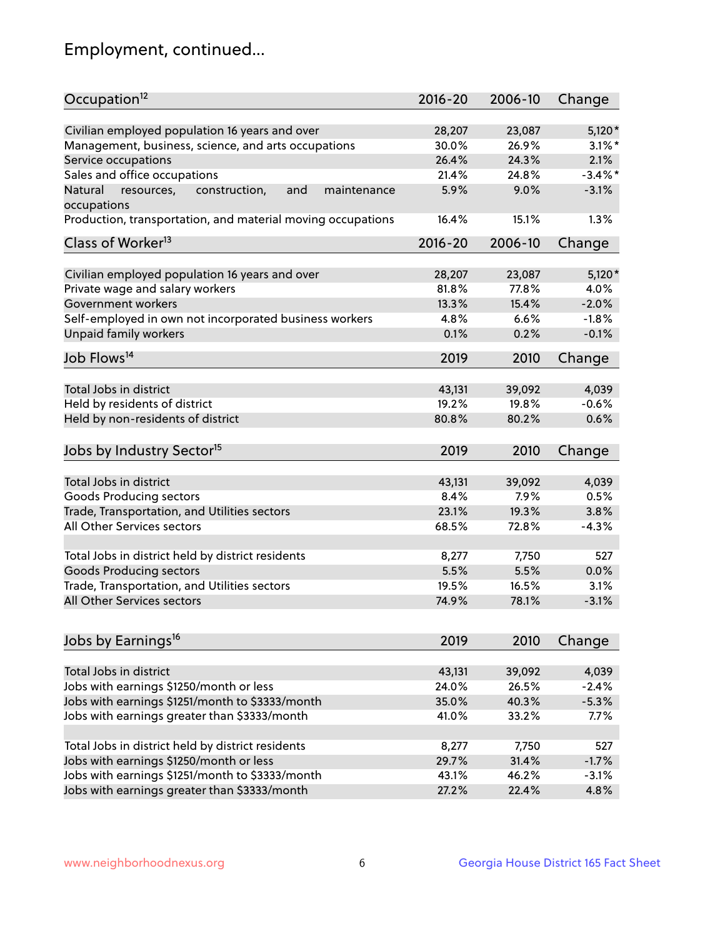## Employment, continued...

| Occupation <sup>12</sup>                                     | $2016 - 20$ | 2006-10 | Change     |
|--------------------------------------------------------------|-------------|---------|------------|
| Civilian employed population 16 years and over               | 28,207      | 23,087  | $5,120*$   |
| Management, business, science, and arts occupations          | 30.0%       | 26.9%   | $3.1\%$ *  |
| Service occupations                                          | 26.4%       | 24.3%   | 2.1%       |
| Sales and office occupations                                 | 21.4%       | 24.8%   | $-3.4\%$ * |
| Natural<br>and<br>resources,<br>construction,<br>maintenance | 5.9%        | 9.0%    | $-3.1%$    |
| occupations                                                  |             |         |            |
| Production, transportation, and material moving occupations  | 16.4%       | 15.1%   | 1.3%       |
| Class of Worker <sup>13</sup>                                | $2016 - 20$ | 2006-10 | Change     |
| Civilian employed population 16 years and over               | 28,207      | 23,087  | $5,120*$   |
| Private wage and salary workers                              | 81.8%       | 77.8%   | 4.0%       |
| Government workers                                           | 13.3%       | 15.4%   | $-2.0%$    |
| Self-employed in own not incorporated business workers       | 4.8%        | 6.6%    | $-1.8%$    |
| Unpaid family workers                                        | 0.1%        | 0.2%    | $-0.1%$    |
| Job Flows <sup>14</sup>                                      |             |         |            |
|                                                              | 2019        | 2010    | Change     |
| Total Jobs in district                                       | 43,131      | 39,092  | 4,039      |
| Held by residents of district                                | 19.2%       | 19.8%   | $-0.6%$    |
| Held by non-residents of district                            | 80.8%       | 80.2%   | 0.6%       |
| Jobs by Industry Sector <sup>15</sup>                        | 2019        | 2010    | Change     |
| Total Jobs in district                                       | 43,131      | 39,092  | 4,039      |
| Goods Producing sectors                                      | 8.4%        | 7.9%    | 0.5%       |
| Trade, Transportation, and Utilities sectors                 | 23.1%       | 19.3%   | 3.8%       |
| All Other Services sectors                                   | 68.5%       | 72.8%   | $-4.3%$    |
|                                                              |             |         |            |
| Total Jobs in district held by district residents            | 8,277       | 7,750   | 527        |
| <b>Goods Producing sectors</b>                               | 5.5%        | 5.5%    | 0.0%       |
| Trade, Transportation, and Utilities sectors                 | 19.5%       | 16.5%   | 3.1%       |
| All Other Services sectors                                   | 74.9%       | 78.1%   | $-3.1%$    |
|                                                              |             |         |            |
| Jobs by Earnings <sup>16</sup>                               | 2019        | 2010    | Change     |
| Total Jobs in district                                       | 43,131      | 39,092  | 4,039      |
| Jobs with earnings \$1250/month or less                      | 24.0%       | 26.5%   | $-2.4%$    |
| Jobs with earnings \$1251/month to \$3333/month              | 35.0%       | 40.3%   | $-5.3%$    |
| Jobs with earnings greater than \$3333/month                 | 41.0%       | 33.2%   | 7.7%       |
|                                                              |             |         |            |
| Total Jobs in district held by district residents            | 8,277       | 7,750   | 527        |
| Jobs with earnings \$1250/month or less                      | 29.7%       | 31.4%   | $-1.7%$    |
| Jobs with earnings \$1251/month to \$3333/month              | 43.1%       | 46.2%   | $-3.1%$    |
| Jobs with earnings greater than \$3333/month                 | 27.2%       | 22.4%   | 4.8%       |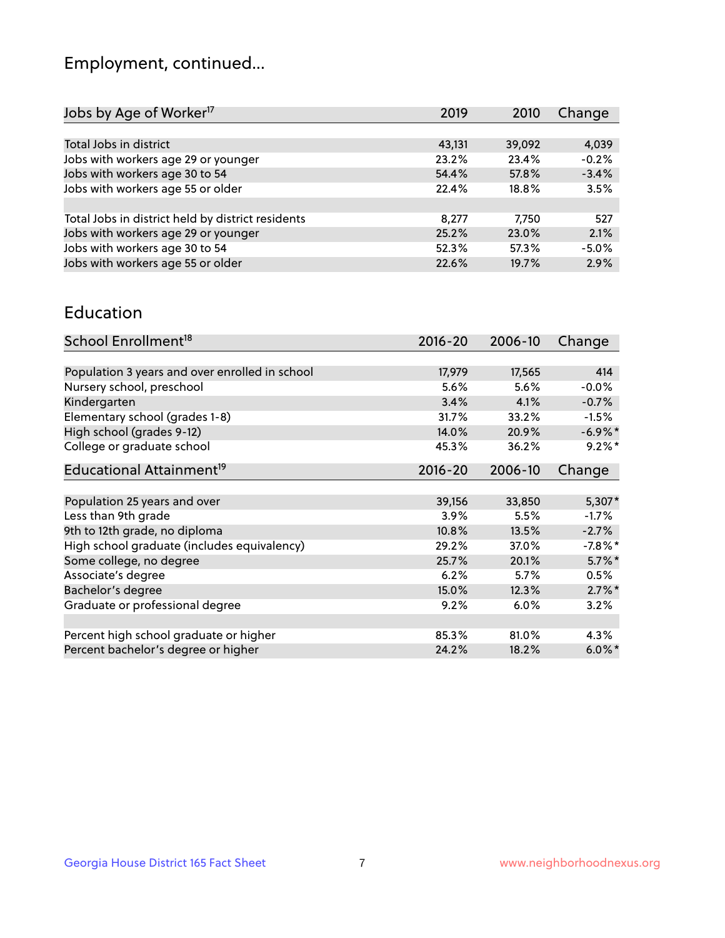## Employment, continued...

| Jobs by Age of Worker <sup>17</sup>               | 2019   | 2010   | Change  |
|---------------------------------------------------|--------|--------|---------|
|                                                   |        |        |         |
| Total Jobs in district                            | 43,131 | 39,092 | 4,039   |
| Jobs with workers age 29 or younger               | 23.2%  | 23.4%  | $-0.2%$ |
| Jobs with workers age 30 to 54                    | 54.4%  | 57.8%  | $-3.4%$ |
| Jobs with workers age 55 or older                 | 22.4%  | 18.8%  | 3.5%    |
|                                                   |        |        |         |
| Total Jobs in district held by district residents | 8,277  | 7,750  | 527     |
| Jobs with workers age 29 or younger               | 25.2%  | 23.0%  | 2.1%    |
| Jobs with workers age 30 to 54                    | 52.3%  | 57.3%  | $-5.0%$ |
| Jobs with workers age 55 or older                 | 22.6%  | 19.7%  | 2.9%    |
|                                                   |        |        |         |

#### Education

| School Enrollment <sup>18</sup>                | $2016 - 20$ | 2006-10 | Change     |
|------------------------------------------------|-------------|---------|------------|
|                                                |             |         |            |
| Population 3 years and over enrolled in school | 17,979      | 17,565  | 414        |
| Nursery school, preschool                      | $5.6\%$     | 5.6%    | $-0.0%$    |
| Kindergarten                                   | 3.4%        | 4.1%    | $-0.7%$    |
| Elementary school (grades 1-8)                 | 31.7%       | 33.2%   | $-1.5%$    |
| High school (grades 9-12)                      | 14.0%       | 20.9%   | $-6.9\%$ * |
| College or graduate school                     | 45.3%       | 36.2%   | $9.2%$ *   |
| Educational Attainment <sup>19</sup>           | $2016 - 20$ | 2006-10 | Change     |
|                                                |             |         |            |
| Population 25 years and over                   | 39,156      | 33,850  | $5,307*$   |
| Less than 9th grade                            | 3.9%        | 5.5%    | $-1.7\%$   |
| 9th to 12th grade, no diploma                  | 10.8%       | 13.5%   | $-2.7%$    |
| High school graduate (includes equivalency)    | 29.2%       | 37.0%   | $-7.8\%$ * |
| Some college, no degree                        | 25.7%       | 20.1%   | $5.7\%$ *  |
| Associate's degree                             | 6.2%        | 5.7%    | 0.5%       |
| Bachelor's degree                              | 15.0%       | 12.3%   | $2.7\%$ *  |
| Graduate or professional degree                | 9.2%        | 6.0%    | 3.2%       |
|                                                |             |         |            |
| Percent high school graduate or higher         | 85.3%       | 81.0%   | 4.3%       |
| Percent bachelor's degree or higher            | 24.2%       | 18.2%   | $6.0\%$ *  |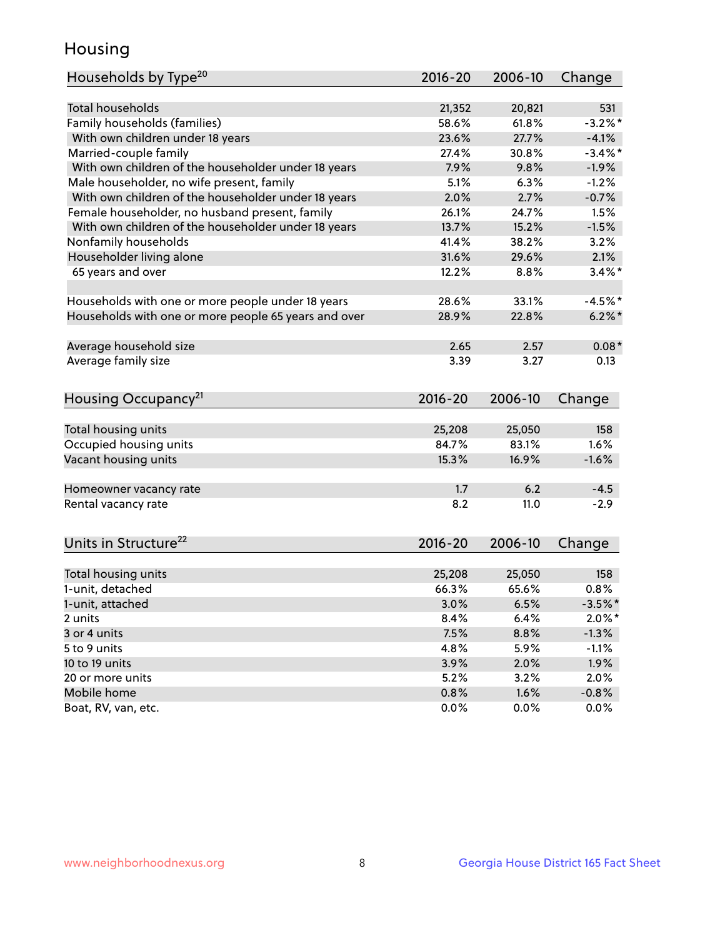## Housing

| Households by Type <sup>20</sup>                     | 2016-20     | 2006-10 | Change     |
|------------------------------------------------------|-------------|---------|------------|
|                                                      |             |         |            |
| <b>Total households</b>                              | 21,352      | 20,821  | 531        |
| Family households (families)                         | 58.6%       | 61.8%   | $-3.2%$ *  |
| With own children under 18 years                     | 23.6%       | 27.7%   | $-4.1%$    |
| Married-couple family                                | 27.4%       | 30.8%   | $-3.4\%$ * |
| With own children of the householder under 18 years  | 7.9%        | 9.8%    | $-1.9%$    |
| Male householder, no wife present, family            | 5.1%        | 6.3%    | $-1.2%$    |
| With own children of the householder under 18 years  | 2.0%        | 2.7%    | $-0.7%$    |
| Female householder, no husband present, family       | 26.1%       | 24.7%   | 1.5%       |
| With own children of the householder under 18 years  | 13.7%       | 15.2%   | $-1.5%$    |
| Nonfamily households                                 | 41.4%       | 38.2%   | 3.2%       |
| Householder living alone                             | 31.6%       | 29.6%   | 2.1%       |
| 65 years and over                                    | 12.2%       | 8.8%    | $3.4\%$ *  |
|                                                      |             |         |            |
| Households with one or more people under 18 years    | 28.6%       | 33.1%   | $-4.5%$    |
| Households with one or more people 65 years and over | 28.9%       | 22.8%   | $6.2\%$    |
|                                                      |             |         |            |
| Average household size                               | 2.65        | 2.57    | $0.08*$    |
| Average family size                                  | 3.39        | 3.27    | 0.13       |
|                                                      |             |         |            |
| Housing Occupancy <sup>21</sup>                      | $2016 - 20$ | 2006-10 | Change     |
|                                                      |             |         |            |
| Total housing units                                  | 25,208      | 25,050  | 158        |
| Occupied housing units                               | 84.7%       | 83.1%   | 1.6%       |
| Vacant housing units                                 | 15.3%       | 16.9%   | $-1.6%$    |
|                                                      |             |         |            |
| Homeowner vacancy rate                               | 1.7         | 6.2     | $-4.5$     |
| Rental vacancy rate                                  | 8.2         | 11.0    | $-2.9$     |
|                                                      |             |         |            |
| Units in Structure <sup>22</sup>                     | 2016-20     | 2006-10 | Change     |
|                                                      |             |         |            |
| Total housing units                                  | 25,208      | 25,050  | 158        |
| 1-unit, detached                                     | 66.3%       | 65.6%   | 0.8%       |
| 1-unit, attached                                     | 3.0%        | 6.5%    | $-3.5%$ *  |
| 2 units                                              | 8.4%        | 6.4%    | $2.0\%$ *  |
| 3 or 4 units                                         | 7.5%        | 8.8%    | $-1.3%$    |
| 5 to 9 units                                         | 4.8%        | 5.9%    | $-1.1%$    |
| 10 to 19 units                                       | 3.9%        | 2.0%    | 1.9%       |
| 20 or more units                                     | 5.2%        | 3.2%    | 2.0%       |
| Mobile home                                          | 0.8%        | 1.6%    | $-0.8%$    |
| Boat, RV, van, etc.                                  | 0.0%        | 0.0%    | 0.0%       |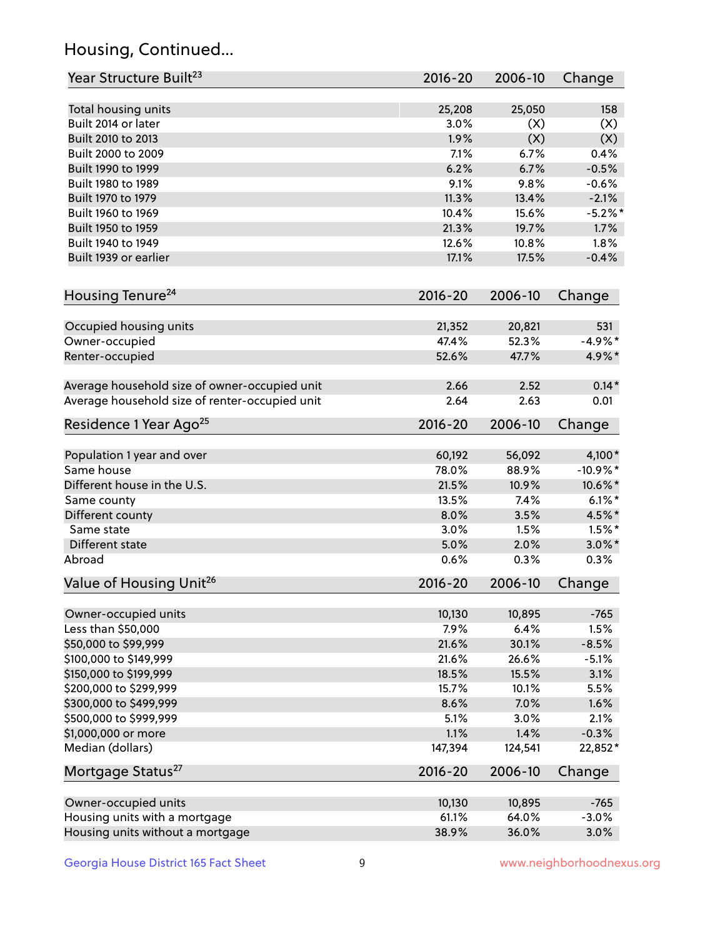## Housing, Continued...

| Year Structure Built <sup>23</sup>             | 2016-20     | 2006-10 | Change            |
|------------------------------------------------|-------------|---------|-------------------|
| Total housing units                            | 25,208      | 25,050  | 158               |
| Built 2014 or later                            | 3.0%        | (X)     | (X)               |
| Built 2010 to 2013                             | 1.9%        | (X)     | (X)               |
| Built 2000 to 2009                             | 7.1%        | 6.7%    | 0.4%              |
| Built 1990 to 1999                             | 6.2%        | 6.7%    | $-0.5%$           |
| Built 1980 to 1989                             | 9.1%        | 9.8%    | $-0.6%$           |
| Built 1970 to 1979                             | 11.3%       | 13.4%   | $-2.1%$           |
| Built 1960 to 1969                             | 10.4%       | 15.6%   | $-5.2%$           |
| Built 1950 to 1959                             | 21.3%       | 19.7%   | 1.7%              |
| Built 1940 to 1949                             | 12.6%       | 10.8%   | 1.8%              |
| Built 1939 or earlier                          | 17.1%       | 17.5%   | $-0.4%$           |
|                                                |             |         |                   |
| Housing Tenure <sup>24</sup>                   | $2016 - 20$ | 2006-10 | Change            |
| Occupied housing units                         | 21,352      | 20,821  | 531               |
| Owner-occupied                                 | 47.4%       | 52.3%   | $-4.9%$ *         |
| Renter-occupied                                | 52.6%       | 47.7%   | 4.9%*             |
| Average household size of owner-occupied unit  | 2.66        | 2.52    | $0.14*$           |
| Average household size of renter-occupied unit | 2.64        | 2.63    | 0.01              |
| Residence 1 Year Ago <sup>25</sup>             | 2016-20     | 2006-10 | Change            |
| Population 1 year and over                     | 60,192      | 56,092  | 4,100*            |
| Same house                                     | 78.0%       | 88.9%   | $-10.9%$ *        |
| Different house in the U.S.                    | 21.5%       | 10.9%   | 10.6%*            |
| Same county                                    | 13.5%       | 7.4%    | $6.1\%$ *         |
| Different county                               | 8.0%        | 3.5%    | 4.5%*             |
| Same state                                     | 3.0%        | 1.5%    | $1.5\%$ *         |
| Different state                                | 5.0%        | 2.0%    |                   |
| Abroad                                         | 0.6%        | 0.3%    | $3.0\%$ *<br>0.3% |
|                                                |             |         |                   |
| Value of Housing Unit <sup>26</sup>            | $2016 - 20$ | 2006-10 | Change            |
|                                                | 10,130      |         |                   |
| Owner-occupied units                           |             | 10,895  | $-765$            |
| Less than \$50,000                             | 7.9%        | 6.4%    | 1.5%              |
| \$50,000 to \$99,999                           | 21.6%       | 30.1%   | $-8.5%$           |
| \$100,000 to \$149,999                         | 21.6%       | 26.6%   | $-5.1%$           |
| \$150,000 to \$199,999                         | 18.5%       | 15.5%   | 3.1%              |
| \$200,000 to \$299,999                         | 15.7%       | 10.1%   | 5.5%              |
| \$300,000 to \$499,999                         | 8.6%        | 7.0%    | 1.6%              |
| \$500,000 to \$999,999                         | 5.1%        | 3.0%    | 2.1%              |
| \$1,000,000 or more                            | 1.1%        | 1.4%    | $-0.3%$           |
| Median (dollars)                               | 147,394     | 124,541 | 22,852*           |
| Mortgage Status <sup>27</sup>                  | $2016 - 20$ | 2006-10 | Change            |
| Owner-occupied units                           | 10,130      | 10,895  | $-765$            |
| Housing units with a mortgage                  | 61.1%       | 64.0%   | $-3.0%$           |
| Housing units without a mortgage               | 38.9%       | 36.0%   | 3.0%              |
|                                                |             |         |                   |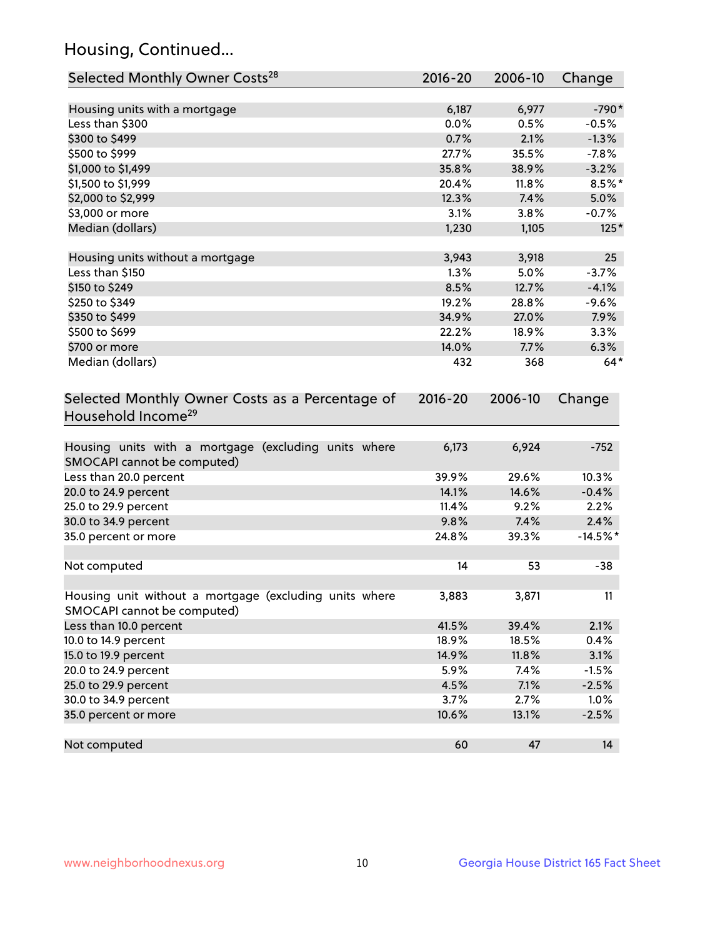## Housing, Continued...

| Selected Monthly Owner Costs <sup>28</sup>                                            | 2016-20     | 2006-10 | Change     |
|---------------------------------------------------------------------------------------|-------------|---------|------------|
| Housing units with a mortgage                                                         | 6,187       | 6,977   | $-790*$    |
| Less than \$300                                                                       | 0.0%        | 0.5%    | $-0.5%$    |
| \$300 to \$499                                                                        | 0.7%        | 2.1%    | $-1.3%$    |
| \$500 to \$999                                                                        | 27.7%       | 35.5%   | $-7.8%$    |
| \$1,000 to \$1,499                                                                    | 35.8%       | 38.9%   | $-3.2%$    |
| \$1,500 to \$1,999                                                                    | 20.4%       | 11.8%   | $8.5\%$ *  |
| \$2,000 to \$2,999                                                                    | 12.3%       | 7.4%    | 5.0%       |
| \$3,000 or more                                                                       | 3.1%        | 3.8%    | $-0.7%$    |
| Median (dollars)                                                                      | 1,230       | 1,105   | $125*$     |
| Housing units without a mortgage                                                      | 3,943       | 3,918   | 25         |
| Less than \$150                                                                       | 1.3%        | 5.0%    | $-3.7%$    |
| \$150 to \$249                                                                        | 8.5%        | 12.7%   | $-4.1%$    |
| \$250 to \$349                                                                        | 19.2%       | 28.8%   | $-9.6%$    |
| \$350 to \$499                                                                        | 34.9%       | 27.0%   | 7.9%       |
| \$500 to \$699                                                                        | 22.2%       | 18.9%   | 3.3%       |
| \$700 or more                                                                         | 14.0%       | 7.7%    | 6.3%       |
| Median (dollars)                                                                      | 432         | 368     | $64*$      |
| Selected Monthly Owner Costs as a Percentage of<br>Household Income <sup>29</sup>     | $2016 - 20$ | 2006-10 | Change     |
| Housing units with a mortgage (excluding units where<br>SMOCAPI cannot be computed)   | 6,173       | 6,924   | $-752$     |
| Less than 20.0 percent                                                                | 39.9%       | 29.6%   | 10.3%      |
| 20.0 to 24.9 percent                                                                  | 14.1%       | 14.6%   | $-0.4%$    |
| 25.0 to 29.9 percent                                                                  | 11.4%       | 9.2%    | 2.2%       |
| 30.0 to 34.9 percent                                                                  | 9.8%        | 7.4%    | 2.4%       |
| 35.0 percent or more                                                                  | 24.8%       | 39.3%   | $-14.5%$ * |
| Not computed                                                                          | 14          | 53      | $-38$      |
| Housing unit without a mortgage (excluding units where<br>SMOCAPI cannot be computed) | 3,883       | 3,871   | 11         |
| Less than 10.0 percent                                                                | 41.5%       | 39.4%   | 2.1%       |
| 10.0 to 14.9 percent                                                                  | 18.9%       | 18.5%   | 0.4%       |
| 15.0 to 19.9 percent                                                                  | 14.9%       | 11.8%   | 3.1%       |
| 20.0 to 24.9 percent                                                                  | 5.9%        | 7.4%    | $-1.5%$    |
| 25.0 to 29.9 percent                                                                  | 4.5%        | 7.1%    | $-2.5%$    |
| 30.0 to 34.9 percent                                                                  | 3.7%        | 2.7%    | 1.0%       |
| 35.0 percent or more                                                                  | 10.6%       | 13.1%   | $-2.5%$    |
| Not computed                                                                          | 60          | 47      | 14         |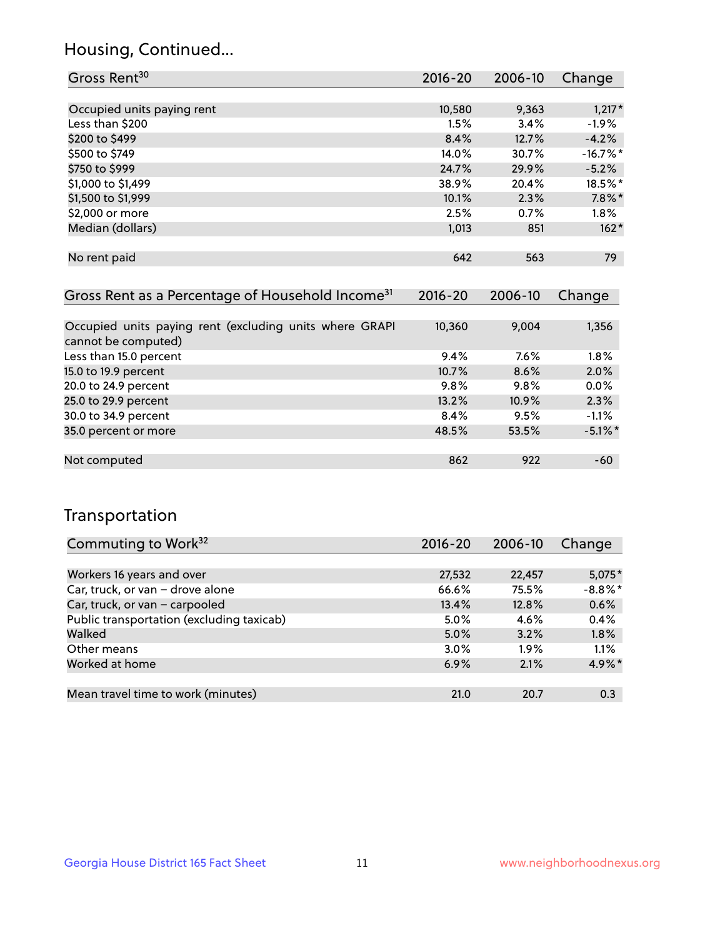## Housing, Continued...

| Gross Rent <sup>30</sup>   | 2016-20 | 2006-10 | Change     |
|----------------------------|---------|---------|------------|
|                            |         |         |            |
| Occupied units paying rent | 10,580  | 9,363   | $1,217*$   |
| Less than \$200            | 1.5%    | 3.4%    | $-1.9%$    |
| \$200 to \$499             | 8.4%    | 12.7%   | $-4.2%$    |
| \$500 to \$749             | 14.0%   | 30.7%   | $-16.7%$ * |
| \$750 to \$999             | 24.7%   | 29.9%   | $-5.2%$    |
| \$1,000 to \$1,499         | 38.9%   | 20.4%   | 18.5%*     |
| \$1,500 to \$1,999         | 10.1%   | 2.3%    | $7.8\%$ *  |
| \$2,000 or more            | 2.5%    | 0.7%    | $1.8\%$    |
| Median (dollars)           | 1,013   | 851     | $162*$     |
|                            |         |         |            |
| No rent paid               | 642     | 563     | 79         |

| Gross Rent as a Percentage of Household Income <sup>31</sup>                   | $2016 - 20$ | 2006-10 | Change     |
|--------------------------------------------------------------------------------|-------------|---------|------------|
|                                                                                |             |         |            |
| Occupied units paying rent (excluding units where GRAPI<br>cannot be computed) | 10,360      | 9,004   | 1,356      |
| Less than 15.0 percent                                                         | 9.4%        | $7.6\%$ | 1.8%       |
| 15.0 to 19.9 percent                                                           | 10.7%       | 8.6%    | 2.0%       |
| 20.0 to 24.9 percent                                                           | 9.8%        | 9.8%    | 0.0%       |
| 25.0 to 29.9 percent                                                           | 13.2%       | 10.9%   | 2.3%       |
| 30.0 to 34.9 percent                                                           | 8.4%        | 9.5%    | $-1.1%$    |
| 35.0 percent or more                                                           | 48.5%       | 53.5%   | $-5.1\%$ * |
|                                                                                |             |         |            |
| Not computed                                                                   | 862         | 922     | -60        |

## Transportation

| Commuting to Work <sup>32</sup>           | 2016-20 | 2006-10 | Change     |
|-------------------------------------------|---------|---------|------------|
|                                           |         |         |            |
| Workers 16 years and over                 | 27,532  | 22,457  | $5,075*$   |
| Car, truck, or van - drove alone          | 66.6%   | 75.5%   | $-8.8\%$ * |
| Car, truck, or van - carpooled            | 13.4%   | 12.8%   | 0.6%       |
| Public transportation (excluding taxicab) | 5.0%    | 4.6%    | 0.4%       |
| Walked                                    | 5.0%    | 3.2%    | 1.8%       |
| Other means                               | 3.0%    | $1.9\%$ | 1.1%       |
| Worked at home                            | 6.9%    | 2.1%    | 4.9%*      |
|                                           |         |         |            |
| Mean travel time to work (minutes)        | 21.0    | 20.7    | 0.3        |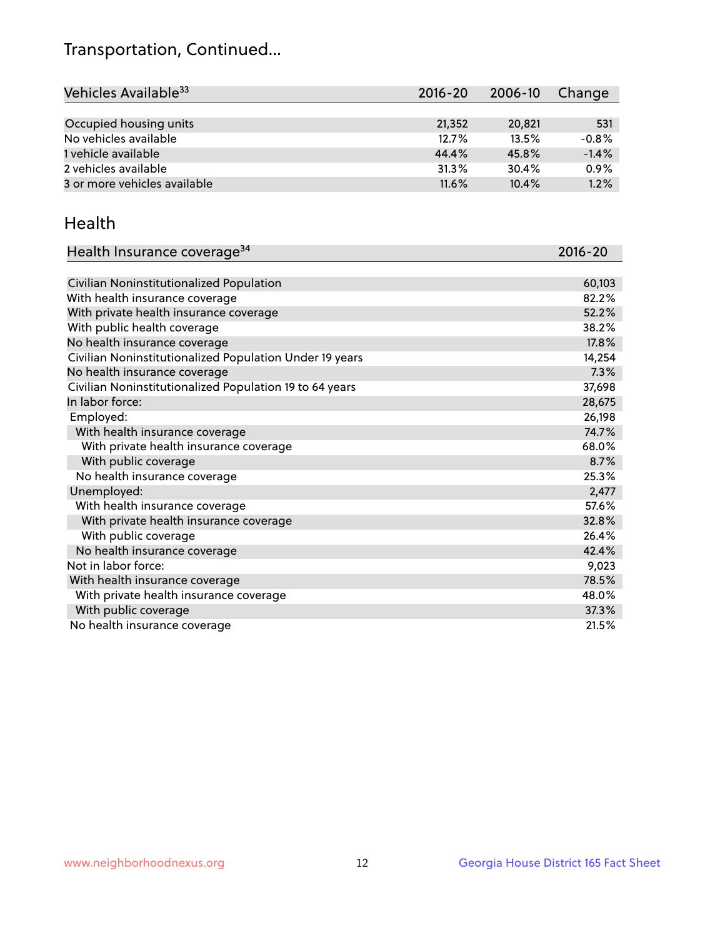## Transportation, Continued...

| Vehicles Available <sup>33</sup> | 2016-20  | 2006-10 | Change  |
|----------------------------------|----------|---------|---------|
|                                  |          |         |         |
| Occupied housing units           | 21,352   | 20,821  | 531     |
| No vehicles available            | 12.7%    | 13.5%   | $-0.8%$ |
| 1 vehicle available              | 44.4%    | 45.8%   | $-1.4%$ |
| 2 vehicles available             | 31.3%    | 30.4%   | 0.9%    |
| 3 or more vehicles available     | $11.6\%$ | 10.4%   | 1.2%    |

#### Health

| Health Insurance coverage <sup>34</sup>                 | 2016-20 |
|---------------------------------------------------------|---------|
|                                                         |         |
| Civilian Noninstitutionalized Population                | 60,103  |
| With health insurance coverage                          | 82.2%   |
| With private health insurance coverage                  | 52.2%   |
| With public health coverage                             | 38.2%   |
| No health insurance coverage                            | 17.8%   |
| Civilian Noninstitutionalized Population Under 19 years | 14,254  |
| No health insurance coverage                            | 7.3%    |
| Civilian Noninstitutionalized Population 19 to 64 years | 37,698  |
| In labor force:                                         | 28,675  |
| Employed:                                               | 26,198  |
| With health insurance coverage                          | 74.7%   |
| With private health insurance coverage                  | 68.0%   |
| With public coverage                                    | 8.7%    |
| No health insurance coverage                            | 25.3%   |
| Unemployed:                                             | 2,477   |
| With health insurance coverage                          | 57.6%   |
| With private health insurance coverage                  | 32.8%   |
| With public coverage                                    | 26.4%   |
| No health insurance coverage                            | 42.4%   |
| Not in labor force:                                     | 9,023   |
| With health insurance coverage                          | 78.5%   |
| With private health insurance coverage                  | 48.0%   |
| With public coverage                                    | 37.3%   |
| No health insurance coverage                            | 21.5%   |